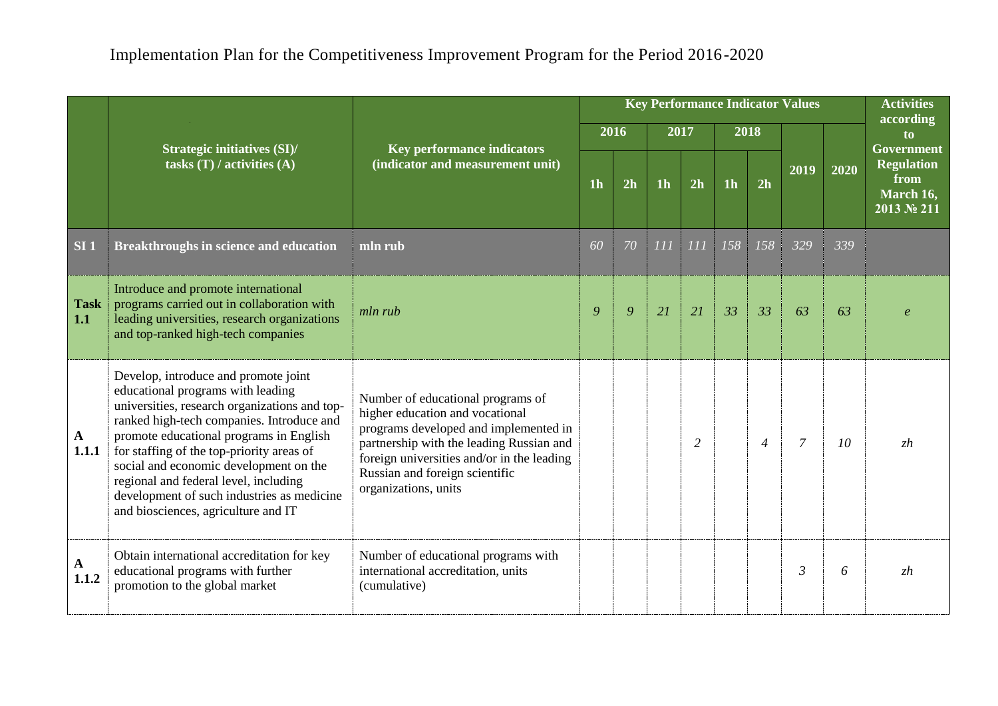|                       |                                                                                                                                                                                                                                                                                                                                                                                                                                         |                                                                                                                                                                                                                                                                   |                |    |                | <b>Key Performance Indicator Values</b> |                |                   | <b>Activities</b> |      |                                                                           |
|-----------------------|-----------------------------------------------------------------------------------------------------------------------------------------------------------------------------------------------------------------------------------------------------------------------------------------------------------------------------------------------------------------------------------------------------------------------------------------|-------------------------------------------------------------------------------------------------------------------------------------------------------------------------------------------------------------------------------------------------------------------|----------------|----|----------------|-----------------------------------------|----------------|-------------------|-------------------|------|---------------------------------------------------------------------------|
|                       |                                                                                                                                                                                                                                                                                                                                                                                                                                         |                                                                                                                                                                                                                                                                   | 2016           |    |                | 2017                                    |                | $\overline{2018}$ |                   |      | according<br>t <sub>o</sub>                                               |
|                       | <b>Strategic initiatives (SI)/</b><br>tasks $(T)$ / activities $(A)$                                                                                                                                                                                                                                                                                                                                                                    | <b>Key performance indicators</b><br>(indicator and measurement unit)                                                                                                                                                                                             | 1 <sub>h</sub> | 2h | 1 <sub>h</sub> | 2h                                      | 1 <sub>h</sub> | 2h                | 2019              | 2020 | <b>Government</b><br><b>Regulation</b><br>from<br>March 16,<br>2013 № 211 |
| SI <sub>1</sub>       | Breakthroughs in science and education                                                                                                                                                                                                                                                                                                                                                                                                  | mln rub                                                                                                                                                                                                                                                           | 60             | 70 | 111            | 111                                     | 158            | 158               | 329               | 339  |                                                                           |
| <b>Task</b><br>1.1    | Introduce and promote international<br>programs carried out in collaboration with<br>leading universities, research organizations<br>and top-ranked high-tech companies                                                                                                                                                                                                                                                                 | mln rub                                                                                                                                                                                                                                                           | 9              | 9  | 21             | 21                                      | 33             | 33                | 63                | 63   |                                                                           |
| $\mathbf{A}$<br>1.1.1 | Develop, introduce and promote joint<br>educational programs with leading<br>universities, research organizations and top-<br>ranked high-tech companies. Introduce and<br>promote educational programs in English<br>for staffing of the top-priority areas of<br>social and economic development on the<br>regional and federal level, including<br>development of such industries as medicine<br>and biosciences, agriculture and IT | Number of educational programs of<br>higher education and vocational<br>programs developed and implemented in<br>partnership with the leading Russian and<br>foreign universities and/or in the leading<br>Russian and foreign scientific<br>organizations, units |                |    |                | $\overline{2}$                          |                | $\overline{4}$    | $\overline{7}$    | 10   | zh                                                                        |
| A<br>1.1.2            | Obtain international accreditation for key<br>educational programs with further<br>promotion to the global market                                                                                                                                                                                                                                                                                                                       | Number of educational programs with<br>international accreditation, units<br>(cumulative)                                                                                                                                                                         |                |    |                |                                         |                |                   | $\mathfrak{Z}$    | 6    | zh                                                                        |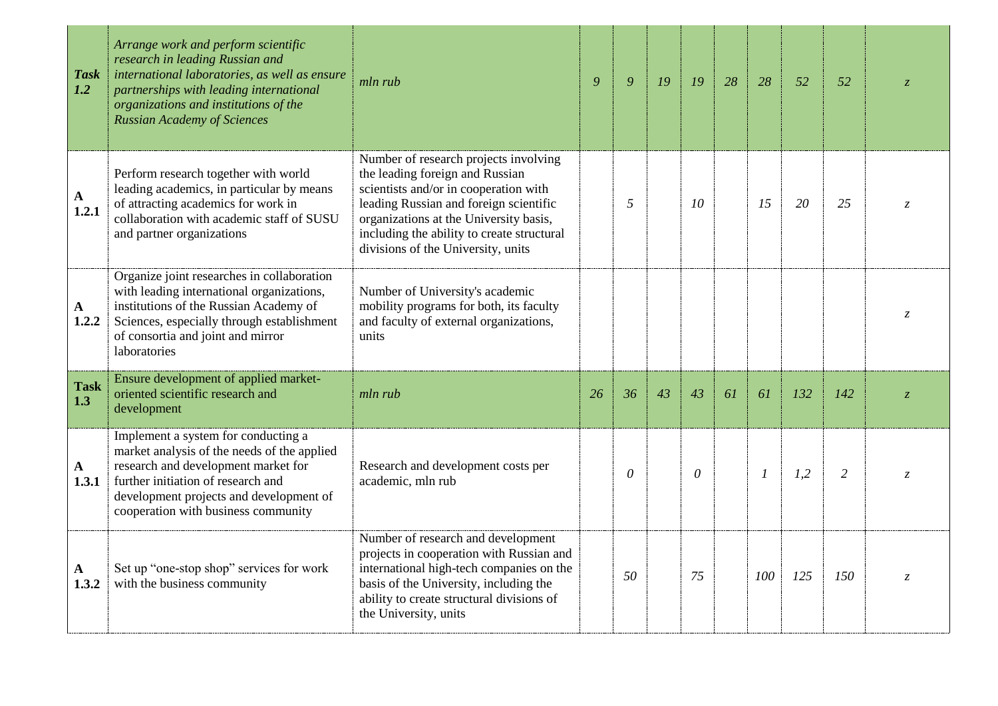| <b>Task</b><br>1.2    | Arrange work and perform scientific<br>research in leading Russian and<br>international laboratories, as well as ensure<br>partnerships with leading international<br>organizations and institutions of the<br><b>Russian Academy of Sciences</b> | mln rub                                                                                                                                                                                                                                                                                   | 9  | $\overline{Q}$ | 19 | 19       | 28 | 28            | 52  | 52             | $\overline{Z}$ |
|-----------------------|---------------------------------------------------------------------------------------------------------------------------------------------------------------------------------------------------------------------------------------------------|-------------------------------------------------------------------------------------------------------------------------------------------------------------------------------------------------------------------------------------------------------------------------------------------|----|----------------|----|----------|----|---------------|-----|----------------|----------------|
| $\mathbf{A}$<br>1.2.1 | Perform research together with world<br>leading academics, in particular by means<br>of attracting academics for work in<br>collaboration with academic staff of SUSU<br>and partner organizations                                                | Number of research projects involving<br>the leading foreign and Russian<br>scientists and/or in cooperation with<br>leading Russian and foreign scientific<br>organizations at the University basis,<br>including the ability to create structural<br>divisions of the University, units |    | 5              |    | 10       |    | 15            | 20  | 25             | $\overline{Z}$ |
| $\mathbf A$<br>1.2.2  | Organize joint researches in collaboration<br>with leading international organizations,<br>institutions of the Russian Academy of<br>Sciences, especially through establishment<br>of consortia and joint and mirror<br>laboratories              | Number of University's academic<br>mobility programs for both, its faculty<br>and faculty of external organizations,<br>units                                                                                                                                                             |    |                |    |          |    |               |     |                | Z.             |
| <b>Task</b><br>1.3    | Ensure development of applied market-<br>oriented scientific research and<br>development                                                                                                                                                          | mln rub                                                                                                                                                                                                                                                                                   | 26 | 36             | 43 | 43       | 61 | 61            | 132 | 142            | $\overline{z}$ |
| A<br>1.3.1            | Implement a system for conducting a<br>market analysis of the needs of the applied<br>research and development market for<br>further initiation of research and<br>development projects and development of<br>cooperation with business community | Research and development costs per<br>academic, mln rub                                                                                                                                                                                                                                   |    | $\theta$       |    | $\theta$ |    | $\mathcal{I}$ | 1,2 | $\overline{2}$ | Z              |
| A<br>1.3.2            | Set up "one-stop shop" services for work<br>with the business community                                                                                                                                                                           | Number of research and development<br>projects in cooperation with Russian and<br>international high-tech companies on the<br>basis of the University, including the<br>ability to create structural divisions of<br>the University, units                                                |    | 50             |    | 75       |    | 100           | 125 | 150            | Z.             |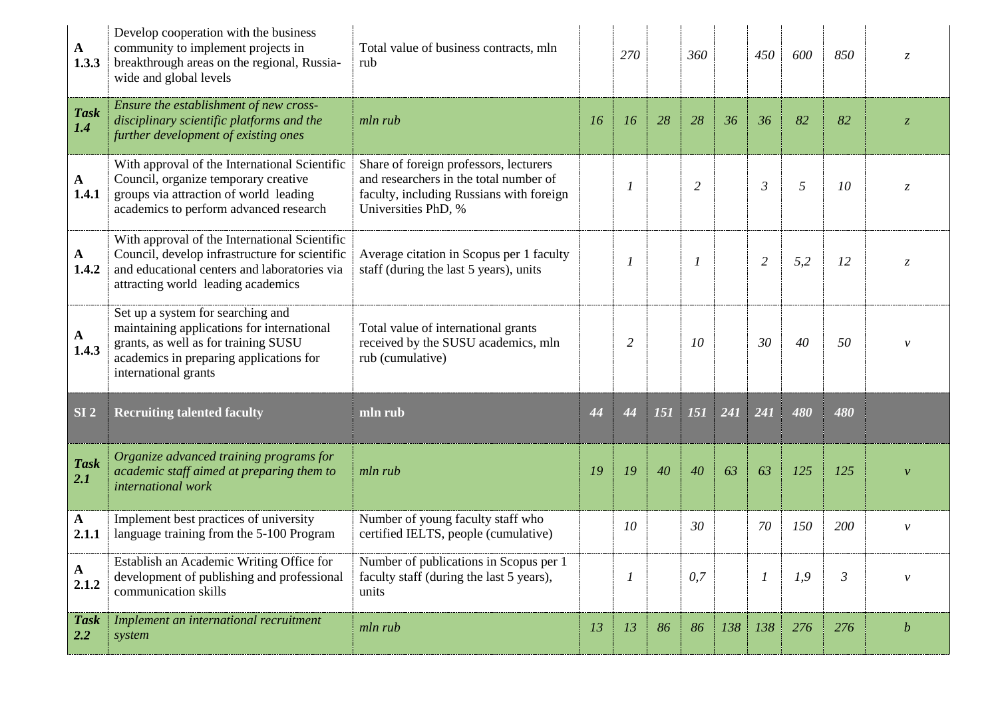| A<br>1.3.3            | Develop cooperation with the business<br>community to implement projects in<br>breakthrough areas on the regional, Russia-<br>wide and global levels                                       | Total value of business contracts, mln<br>rub                                                                                                       |    | 270              |     | 360            |     | 450              | 600            | 850            | Z                |
|-----------------------|--------------------------------------------------------------------------------------------------------------------------------------------------------------------------------------------|-----------------------------------------------------------------------------------------------------------------------------------------------------|----|------------------|-----|----------------|-----|------------------|----------------|----------------|------------------|
| <b>Task</b><br>1.4    | Ensure the establishment of new cross-<br>disciplinary scientific platforms and the<br>further development of existing ones                                                                | mln rub                                                                                                                                             | 16 | 16               | 28  | 28             | 36  | 36               | 82             | 82             | Z.               |
| $\mathbf{A}$<br>1.4.1 | With approval of the International Scientific<br>Council, organize temporary creative<br>groups via attraction of world leading<br>academics to perform advanced research                  | Share of foreign professors, lecturers<br>and researchers in the total number of<br>faculty, including Russians with foreign<br>Universities PhD, % |    | 1                |     | $\overline{c}$ |     | $\mathfrak{Z}$   | $\mathfrak{H}$ | 10             | $\mathcal{Z}$    |
| A<br>1.4.2            | With approval of the International Scientific<br>Council, develop infrastructure for scientific<br>and educational centers and laboratories via<br>attracting world leading academics      | Average citation in Scopus per 1 faculty<br>staff (during the last 5 years), units                                                                  |    | 1                |     | 1              |     | $\overline{c}$   | 5,2            | 12             | $\overline{z}$   |
| $\mathbf{A}$<br>1.4.3 | Set up a system for searching and<br>maintaining applications for international<br>grants, as well as for training SUSU<br>academics in preparing applications for<br>international grants | Total value of international grants<br>received by the SUSU academics, mln<br>rub (cumulative)                                                      |    | $\overline{2}$   |     | 10             |     | 30               | 40             | 50             |                  |
| SI <sub>2</sub>       | <b>Recruiting talented faculty</b>                                                                                                                                                         | mln rub                                                                                                                                             | 44 | 44               | 151 | 151            | 241 | 241              | 480            | 480            |                  |
| <b>Task</b><br>2.1    | Organize advanced training programs for<br>academic staff aimed at preparing them to<br>international work                                                                                 | mln rub                                                                                                                                             | 19 | 19               | 40  | 40             | 63  | 63               | 125            | 125            |                  |
| $\mathbf{A}$<br>2.1.1 | Implement best practices of university<br>language training from the 5-100 Program                                                                                                         | Number of young faculty staff who<br>certified IELTS, people (cumulative)                                                                           |    | 10               |     | 30             |     | 70               | 150            | 200            | $\mathcal{V}$    |
| $\mathbf{A}$<br>2.1.2 | Establish an Academic Writing Office for<br>development of publishing and professional<br>communication skills                                                                             | Number of publications in Scopus per 1<br>faculty staff (during the last 5 years),<br>units                                                         |    | $\boldsymbol{l}$ |     | 0,7            |     | $\boldsymbol{l}$ | 1,9            | $\mathfrak{Z}$ | $\mathcal V$     |
| <b>Task</b><br>2.2    | Implement an international recruitment<br>system                                                                                                                                           | mln rub                                                                                                                                             | 13 | 13               | 86  | 86             | 138 | 138              | 276            | 276            | $\boldsymbol{b}$ |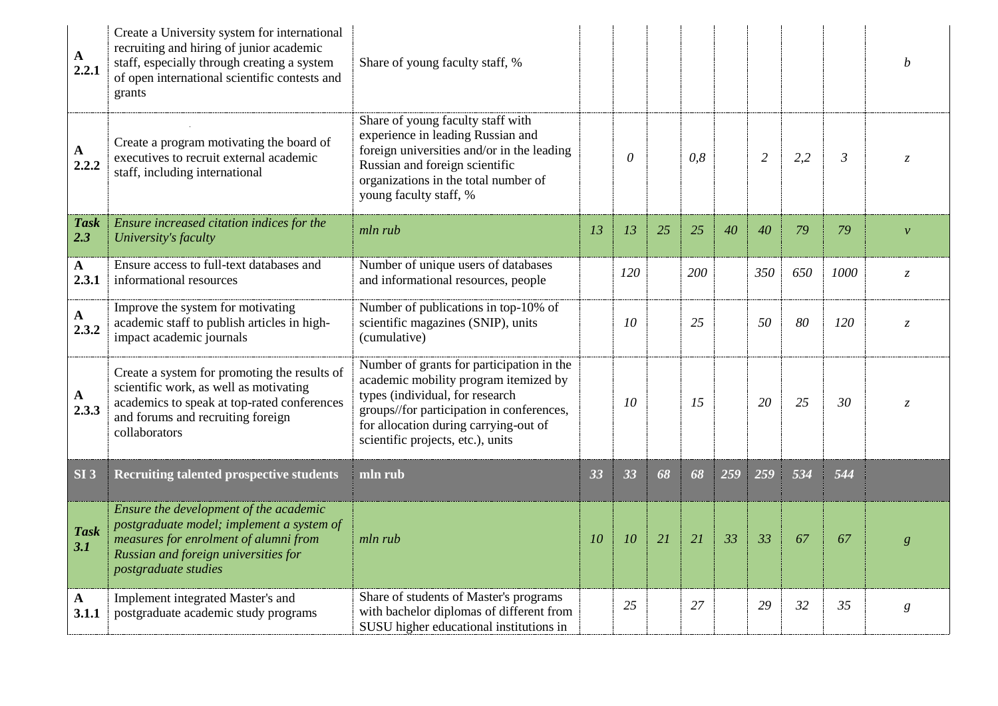| $\mathbf{A}$<br>2.2.1 | Create a University system for international<br>recruiting and hiring of junior academic<br>staff, especially through creating a system<br>of open international scientific contests and<br>grants | Share of young faculty staff, %                                                                                                                                                                                                                  |    |          |    |     |     |                |     |                | b                |
|-----------------------|----------------------------------------------------------------------------------------------------------------------------------------------------------------------------------------------------|--------------------------------------------------------------------------------------------------------------------------------------------------------------------------------------------------------------------------------------------------|----|----------|----|-----|-----|----------------|-----|----------------|------------------|
| $\mathbf{A}$<br>2.2.2 | Create a program motivating the board of<br>executives to recruit external academic<br>staff, including international                                                                              | Share of young faculty staff with<br>experience in leading Russian and<br>foreign universities and/or in the leading<br>Russian and foreign scientific<br>organizations in the total number of<br>young faculty staff, %                         |    | $\theta$ |    | 0,8 |     | $\overline{2}$ | 2,2 | $\mathfrak{Z}$ | $\overline{z}$   |
| <b>Task</b><br>2.3    | Ensure increased citation indices for the<br>University's faculty                                                                                                                                  | mln rub                                                                                                                                                                                                                                          | 13 | 13       | 25 | 25  | 40  | 40             | 79  | 79             | $\mathcal{V}$    |
| $\mathbf{A}$<br>2.3.1 | Ensure access to full-text databases and<br>informational resources                                                                                                                                | Number of unique users of databases<br>and informational resources, people                                                                                                                                                                       |    | 120      |    | 200 |     | 350            | 650 | 1000           | $\zeta$          |
| $\mathbf{A}$<br>2.3.2 | Improve the system for motivating<br>academic staff to publish articles in high-<br>impact academic journals                                                                                       | Number of publications in top-10% of<br>scientific magazines (SNIP), units<br>(cumulative)                                                                                                                                                       |    | 10       |    | 25  |     | 50             | 80  | 120            | $\overline{z}$   |
| $\mathbf{A}$<br>2.3.3 | Create a system for promoting the results of<br>scientific work, as well as motivating<br>academics to speak at top-rated conferences<br>and forums and recruiting foreign<br>collaborators        | Number of grants for participation in the<br>academic mobility program itemized by<br>types (individual, for research<br>groups//for participation in conferences,<br>for allocation during carrying-out of<br>scientific projects, etc.), units |    | 10       |    | 15  |     | 20             | 25  | 30             | $Z_{\cdot}$      |
| SI <sub>3</sub>       | <b>Recruiting talented prospective students</b>                                                                                                                                                    | mln rub                                                                                                                                                                                                                                          | 33 | 33       | 68 | 68  | 259 | 259            | 534 | 544            |                  |
| <b>Task</b><br>3.1    | Ensure the development of the academic<br>postgraduate model; implement a system of<br>measures for enrolment of alumni from<br>Russian and foreign universities for<br>postgraduate studies       | mln rub                                                                                                                                                                                                                                          | 10 | 10       | 21 | 21  | 33  | 33             | 67  | 67             | g                |
| $\mathbf{A}$<br>3.1.1 | Implement integrated Master's and<br>postgraduate academic study programs                                                                                                                          | Share of students of Master's programs<br>with bachelor diplomas of different from<br>SUSU higher educational institutions in                                                                                                                    |    | 25       |    | 27  |     | 29             | 32  | 35             | $\boldsymbol{g}$ |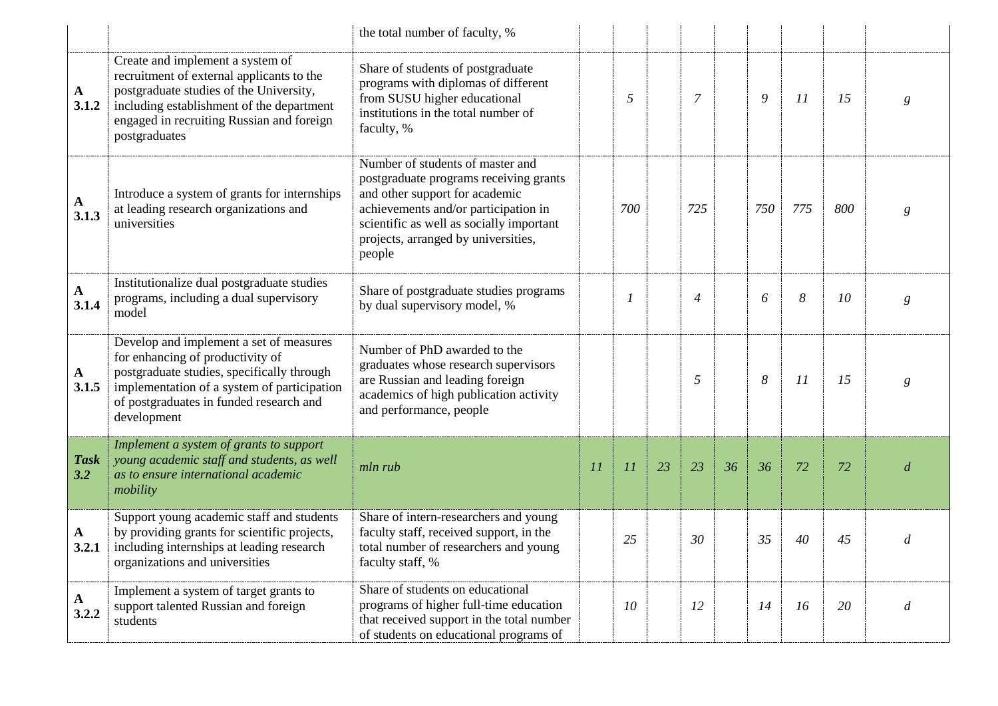|                       |                                                                                                                                                                                                                                     | the total number of faculty, %                                                                                                                                                                                                                    |    |                |    |                |    |     |     |     |                |
|-----------------------|-------------------------------------------------------------------------------------------------------------------------------------------------------------------------------------------------------------------------------------|---------------------------------------------------------------------------------------------------------------------------------------------------------------------------------------------------------------------------------------------------|----|----------------|----|----------------|----|-----|-----|-----|----------------|
| $\mathbf{A}$<br>3.1.2 | Create and implement a system of<br>recruitment of external applicants to the<br>postgraduate studies of the University,<br>including establishment of the department<br>engaged in recruiting Russian and foreign<br>postgraduates | Share of students of postgraduate<br>programs with diplomas of different<br>from SUSU higher educational<br>institutions in the total number of<br>faculty, %                                                                                     |    | 5              |    | $\overline{7}$ |    | 9   | 11  | 15  | g              |
| $\mathbf{A}$<br>3.1.3 | Introduce a system of grants for internships<br>at leading research organizations and<br>universities                                                                                                                               | Number of students of master and<br>postgraduate programs receiving grants<br>and other support for academic<br>achievements and/or participation in<br>scientific as well as socially important<br>projects, arranged by universities,<br>people |    | 700            |    | 725            |    | 750 | 775 | 800 | g              |
| $\mathbf{A}$<br>3.1.4 | Institutionalize dual postgraduate studies<br>programs, including a dual supervisory<br>model                                                                                                                                       | Share of postgraduate studies programs<br>by dual supervisory model, %                                                                                                                                                                            |    | $\overline{1}$ |    | $\overline{4}$ |    | 6   | 8   | 10  | g              |
| $\mathbf{A}$<br>3.1.5 | Develop and implement a set of measures<br>for enhancing of productivity of<br>postgraduate studies, specifically through<br>implementation of a system of participation<br>of postgraduates in funded research and<br>development  | Number of PhD awarded to the<br>graduates whose research supervisors<br>are Russian and leading foreign<br>academics of high publication activity<br>and performance, people                                                                      |    |                |    | 5              |    | 8   | 11  | 15  | g              |
| <b>Task</b><br>3.2    | Implement a system of grants to support<br>young academic staff and students, as well<br>as to ensure international academic<br>mobility                                                                                            | mln rub                                                                                                                                                                                                                                           | 11 | 11             | 23 | 23             | 36 | 36  | 72  | 72  | d              |
| $\mathbf{A}$<br>3.2.1 | Support young academic staff and students<br>by providing grants for scientific projects,<br>including internships at leading research<br>organizations and universities                                                            | Share of intern-researchers and young<br>faculty staff, received support, in the<br>total number of researchers and young<br>faculty staff, %                                                                                                     |    | 25             |    | 30             |    | 35  | 40  | 45  | d              |
| $\mathbf{A}$<br>3.2.2 | Implement a system of target grants to<br>support talented Russian and foreign<br>students                                                                                                                                          | Share of students on educational<br>programs of higher full-time education<br>that received support in the total number<br>of students on educational programs of                                                                                 |    | 10             |    | 12             |    | 14  | 16  | 20  | $\overline{d}$ |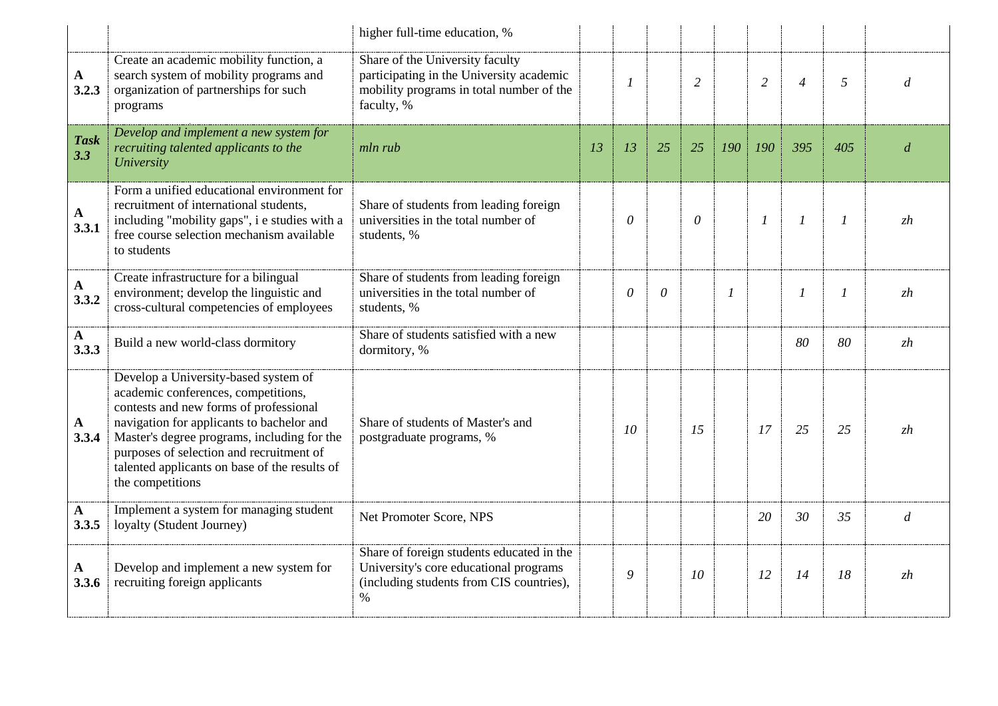|                       |                                                                                                                                                                                                                                                                                                                                    | higher full-time education, %                                                                                                           |    |                |          |                |                  |                |                |                  |                  |
|-----------------------|------------------------------------------------------------------------------------------------------------------------------------------------------------------------------------------------------------------------------------------------------------------------------------------------------------------------------------|-----------------------------------------------------------------------------------------------------------------------------------------|----|----------------|----------|----------------|------------------|----------------|----------------|------------------|------------------|
| $\mathbf{A}$<br>3.2.3 | Create an academic mobility function, a<br>search system of mobility programs and<br>organization of partnerships for such<br>programs                                                                                                                                                                                             | Share of the University faculty<br>participating in the University academic<br>mobility programs in total number of the<br>faculty, %   |    | $\overline{I}$ |          | $\overline{2}$ |                  | $\overline{2}$ | $\overline{4}$ | 5                | d                |
| <b>Task</b><br>3.3    | Develop and implement a new system for<br>recruiting talented applicants to the<br>University                                                                                                                                                                                                                                      | mln rub                                                                                                                                 | 13 | 13             | 25       | 25             | 190              | 190            | 395            | 405              | $\overline{d}$   |
| $\mathbf{A}$<br>3.3.1 | Form a unified educational environment for<br>recruitment of international students,<br>including "mobility gaps", i e studies with a<br>free course selection mechanism available<br>to students                                                                                                                                  | Share of students from leading foreign<br>universities in the total number of<br>students, %                                            |    | $\theta$       |          | $\theta$       |                  | $\mathfrak{1}$ | $\mathfrak{1}$ | $\boldsymbol{l}$ | zh               |
| ${\bf A}$<br>3.3.2    | Create infrastructure for a bilingual<br>environment; develop the linguistic and<br>cross-cultural competencies of employees                                                                                                                                                                                                       | Share of students from leading foreign<br>universities in the total number of<br>students, %                                            |    | $\theta$       | $\theta$ |                | $\boldsymbol{l}$ |                | $\mathfrak{1}$ | $\mathfrak{1}$   | zh               |
| ${\bf A}$<br>3.3.3    | Build a new world-class dormitory                                                                                                                                                                                                                                                                                                  | Share of students satisfied with a new<br>dormitory, %                                                                                  |    |                |          |                |                  |                | 80             | 80               | zh               |
| $\mathbf{A}$<br>3.3.4 | Develop a University-based system of<br>academic conferences, competitions,<br>contests and new forms of professional<br>navigation for applicants to bachelor and<br>Master's degree programs, including for the<br>purposes of selection and recruitment of<br>talented applicants on base of the results of<br>the competitions | Share of students of Master's and<br>postgraduate programs, %                                                                           |    | 10             |          | 15             |                  | 17             | 25             | 25               | zh               |
| $\mathbf{A}$<br>3.3.5 | Implement a system for managing student<br>loyalty (Student Journey)                                                                                                                                                                                                                                                               | Net Promoter Score, NPS                                                                                                                 |    |                |          |                |                  | 20             | 30             | 35               | $\boldsymbol{d}$ |
| $\mathbf{A}$<br>3.3.6 | Develop and implement a new system for<br>recruiting foreign applicants                                                                                                                                                                                                                                                            | Share of foreign students educated in the<br>University's core educational programs<br>(including students from CIS countries),<br>$\%$ |    | 9              |          | 10             |                  | 12             | 14             | 18               | zh               |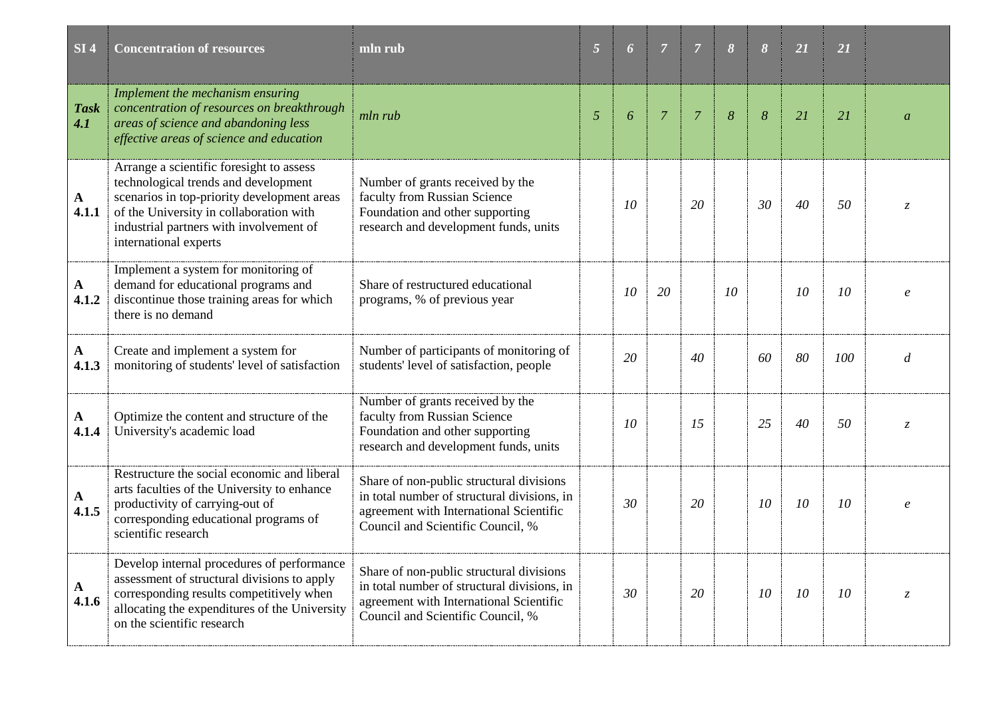| SI <sub>4</sub>       | <b>Concentration of resources</b>                                                                                                                                                                                                              | mln rub                                                                                                                                                                 | $\overline{5}$ | 6  | $\overline{7}$ | $\overline{7}$ | $\boldsymbol{\delta}$ | 8  | 21 | 21  |                     |
|-----------------------|------------------------------------------------------------------------------------------------------------------------------------------------------------------------------------------------------------------------------------------------|-------------------------------------------------------------------------------------------------------------------------------------------------------------------------|----------------|----|----------------|----------------|-----------------------|----|----|-----|---------------------|
| <b>Task</b><br>4.1    | Implement the mechanism ensuring<br>concentration of resources on breakthrough<br>areas of science and abandoning less<br>effective areas of science and education                                                                             | mln rub                                                                                                                                                                 | 5              | 6  | $\overline{7}$ | $\overline{7}$ | 8                     | 8  | 21 | 21  | $\overline{a}$      |
| $\mathbf{A}$<br>4.1.1 | Arrange a scientific foresight to assess<br>technological trends and development<br>scenarios in top-priority development areas<br>of the University in collaboration with<br>industrial partners with involvement of<br>international experts | Number of grants received by the<br>faculty from Russian Science<br>Foundation and other supporting<br>research and development funds, units                            |                | 10 |                | 20             |                       | 30 | 40 | 50  | Z.                  |
| $\mathbf{A}$<br>4.1.2 | Implement a system for monitoring of<br>demand for educational programs and<br>discontinue those training areas for which<br>there is no demand                                                                                                | Share of restructured educational<br>programs, % of previous year                                                                                                       |                | 10 | 20             |                | 10                    |    | 10 | 10  | $\boldsymbol{\rho}$ |
| $\mathbf{A}$<br>4.1.3 | Create and implement a system for<br>monitoring of students' level of satisfaction                                                                                                                                                             | Number of participants of monitoring of<br>students' level of satisfaction, people                                                                                      |                | 20 |                | 40             |                       | 60 | 80 | 100 | d                   |
| A<br>4.1.4            | Optimize the content and structure of the<br>University's academic load                                                                                                                                                                        | Number of grants received by the<br>faculty from Russian Science<br>Foundation and other supporting<br>research and development funds, units                            |                | 10 |                | 15             |                       | 25 | 40 | 50  | $\zeta$             |
| $\mathbf{A}$<br>4.1.5 | Restructure the social economic and liberal<br>arts faculties of the University to enhance<br>productivity of carrying-out of<br>corresponding educational programs of<br>scientific research                                                  | Share of non-public structural divisions<br>in total number of structural divisions, in<br>agreement with International Scientific<br>Council and Scientific Council, % |                | 30 |                | 20             |                       | 10 | 10 | 10  | $\boldsymbol{\rho}$ |
| A<br>4.1.6            | Develop internal procedures of performance<br>assessment of structural divisions to apply<br>corresponding results competitively when<br>allocating the expenditures of the University<br>on the scientific research                           | Share of non-public structural divisions<br>in total number of structural divisions, in<br>agreement with International Scientific<br>Council and Scientific Council, % |                | 30 |                | 20             |                       | 10 | 10 | 10  | $Z_{\cdot}$         |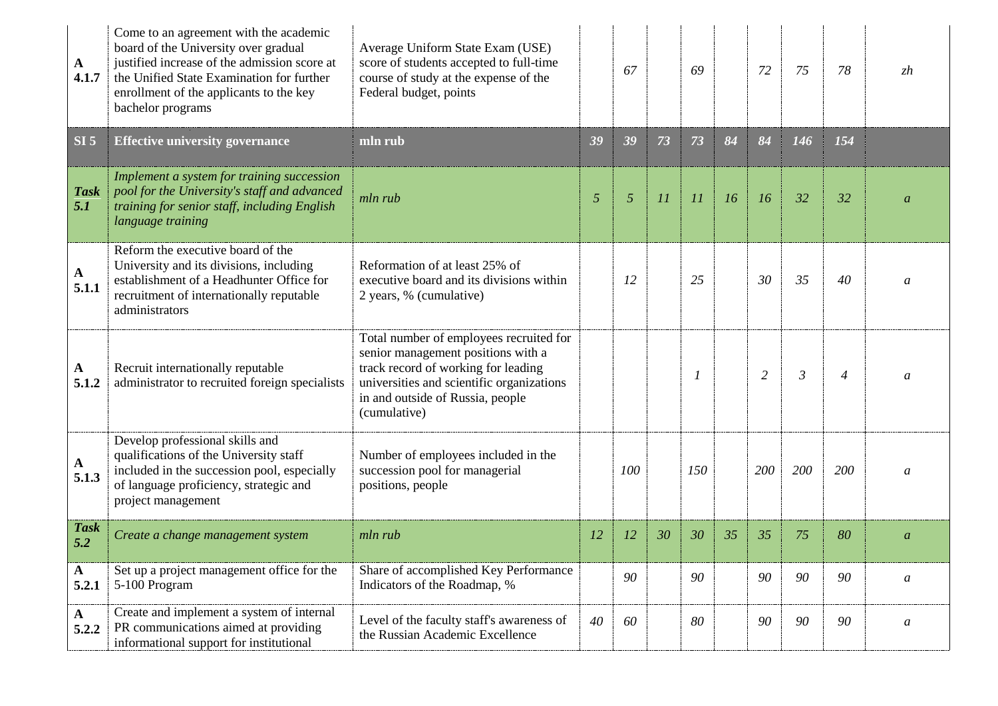| A<br>4.1.7            | Come to an agreement with the academic<br>board of the University over gradual<br>justified increase of the admission score at<br>the Unified State Examination for further<br>enrollment of the applicants to the key<br>bachelor programs | Average Uniform State Exam (USE)<br>score of students accepted to full-time<br>course of study at the expense of the<br>Federal budget, points                                                                        |           | 67  |    | 69       |    | 72  | 75             | 78             | zh               |
|-----------------------|---------------------------------------------------------------------------------------------------------------------------------------------------------------------------------------------------------------------------------------------|-----------------------------------------------------------------------------------------------------------------------------------------------------------------------------------------------------------------------|-----------|-----|----|----------|----|-----|----------------|----------------|------------------|
| SI <sub>5</sub>       | <b>Effective university governance</b>                                                                                                                                                                                                      | mln rub                                                                                                                                                                                                               | 39        | 39  | 73 | 73       | 84 | 84  | 146            | 154            |                  |
| <b>Task</b><br>5.1    | Implement a system for training succession<br>pool for the University's staff and advanced<br>training for senior staff, including English<br>language training                                                                             | mln rub                                                                                                                                                                                                               | 5         | 5   | 11 | 11       | 16 | 16  | 32             | 32             | $\mathfrak a$    |
| $\mathbf{A}$<br>5.1.1 | Reform the executive board of the<br>University and its divisions, including<br>establishment of a Headhunter Office for<br>recruitment of internationally reputable<br>administrators                                                      | Reformation of at least 25% of<br>executive board and its divisions within<br>2 years, % (cumulative)                                                                                                                 |           | 12  |    | 25       |    | 30  | 35             | 40             | $\mathfrak a$    |
| A<br>5.1.2            | Recruit internationally reputable<br>administrator to recruited foreign specialists                                                                                                                                                         | Total number of employees recruited for<br>senior management positions with a<br>track record of working for leading<br>universities and scientific organizations<br>in and outside of Russia, people<br>(cumulative) |           |     |    | $\prime$ |    | 2   | $\mathfrak{Z}$ | $\overline{4}$ | a                |
| $\mathbf{A}$<br>5.1.3 | Develop professional skills and<br>qualifications of the University staff<br>included in the succession pool, especially<br>of language proficiency, strategic and<br>project management                                                    | Number of employees included in the<br>succession pool for managerial<br>positions, people                                                                                                                            |           | 100 |    | 150      |    | 200 | 200            | 200            | $\mathfrak a$    |
| <b>Task</b><br>5.2    | Create a change management system                                                                                                                                                                                                           | mln rub                                                                                                                                                                                                               | <i>12</i> | 12  | 30 | 30       | 35 | 35  | 75             | 80             | $\boldsymbol{a}$ |
| $\mathbf{A}$<br>5.2.1 | Set up a project management office for the<br>5-100 Program                                                                                                                                                                                 | Share of accomplished Key Performance<br>Indicators of the Roadmap, %                                                                                                                                                 |           | 90  |    | 90       |    | 90  | 90             | 90             | $\mathfrak a$    |
| $\mathbf{A}$<br>5.2.2 | Create and implement a system of internal<br>PR communications aimed at providing<br>informational support for institutional                                                                                                                | Level of the faculty staff's awareness of<br>the Russian Academic Excellence                                                                                                                                          | 40        | 60  |    | 80       |    | 90  | 90             | 90             | a                |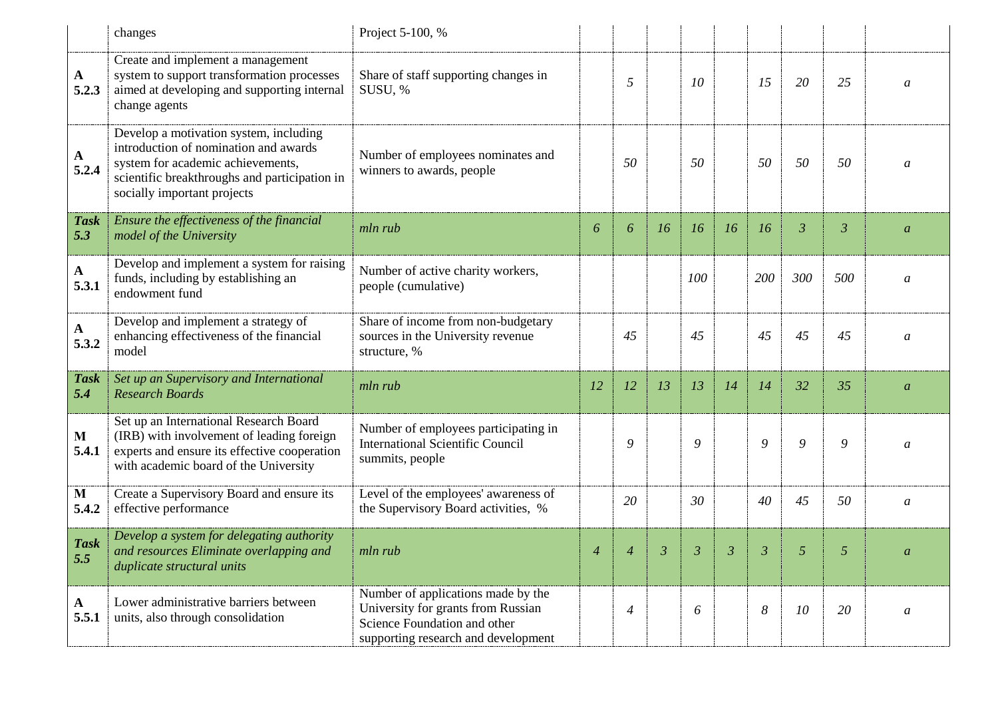|                      | changes                                                                                                                                                                                              | Project 5-100, %                                                                                                                                |                |                |    |           |                |     |                |                |                  |
|----------------------|------------------------------------------------------------------------------------------------------------------------------------------------------------------------------------------------------|-------------------------------------------------------------------------------------------------------------------------------------------------|----------------|----------------|----|-----------|----------------|-----|----------------|----------------|------------------|
| A<br>5.2.3           | Create and implement a management<br>system to support transformation processes<br>aimed at developing and supporting internal<br>change agents                                                      | Share of staff supporting changes in<br>SUSU, %                                                                                                 |                | 5              |    | 10        |                | 15  | 20             | 25             | $\mathfrak a$    |
| A<br>5.2.4           | Develop a motivation system, including<br>introduction of nomination and awards<br>system for academic achievements,<br>scientific breakthroughs and participation in<br>socially important projects | Number of employees nominates and<br>winners to awards, people                                                                                  |                | 50             |    | 50        |                | 50  | 50             | 50             | a                |
| <b>Task</b><br>5.3   | Ensure the effectiveness of the financial<br>model of the University                                                                                                                                 | mln rub                                                                                                                                         | 6              | 6              | 16 | <i>16</i> | 16             | 16  | $\mathfrak{Z}$ | $\mathfrak{Z}$ | $\boldsymbol{a}$ |
| $\mathbf A$<br>5.3.1 | Develop and implement a system for raising<br>funds, including by establishing an<br>endowment fund                                                                                                  | Number of active charity workers,<br>people (cumulative)                                                                                        |                |                |    | 100       |                | 200 | 300            | 500            | a                |
| ${\bf A}$<br>5.3.2   | Develop and implement a strategy of<br>enhancing effectiveness of the financial<br>model                                                                                                             | Share of income from non-budgetary<br>sources in the University revenue<br>structure, %                                                         |                | 45             |    | 45        |                | 45  | 45             | 45             | a                |
| <b>Task</b><br>5.4   | Set up an Supervisory and International<br><b>Research Boards</b>                                                                                                                                    | mln rub                                                                                                                                         | <i>12</i>      | 12             | 13 | 13        | 14             | 14  | 32             | 35             | $\boldsymbol{a}$ |
| M<br>5.4.1           | Set up an International Research Board<br>(IRB) with involvement of leading foreign<br>experts and ensure its effective cooperation<br>with academic board of the University                         | Number of employees participating in<br><b>International Scientific Council</b><br>summits, people                                              |                | 9              |    | 9         |                | 9   | 9              | 9              | a                |
| M<br>5.4.2           | Create a Supervisory Board and ensure its<br>effective performance                                                                                                                                   | Level of the employees' awareness of<br>the Supervisory Board activities, %                                                                     |                | 20             |    | 30        |                | 40  | 45             | 50             | a                |
| <b>Task</b><br>5.5   | Develop a system for delegating authority<br>and resources Eliminate overlapping and<br>duplicate structural units                                                                                   | mln rub                                                                                                                                         | $\overline{4}$ | $\overline{4}$ | 3  | 3         | $\mathfrak{Z}$ | 3   | 5              | 5              |                  |
| A<br>5.5.1           | Lower administrative barriers between<br>units, also through consolidation                                                                                                                           | Number of applications made by the<br>University for grants from Russian<br>Science Foundation and other<br>supporting research and development |                | 4              |    | 6         |                | 8   | 10             | 20             | $\mathfrak a$    |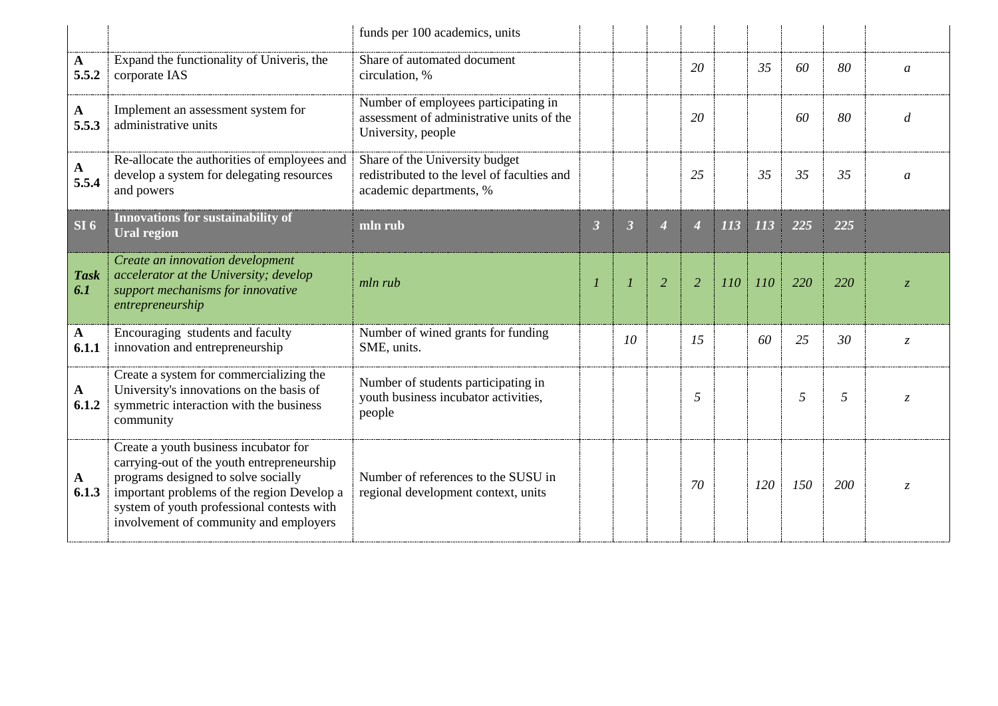|                       |                                                                                                                                                                                                                                                                  | funds per 100 academics, units                                                                           |                      |                         |                |                  |     |     |     |     |                |
|-----------------------|------------------------------------------------------------------------------------------------------------------------------------------------------------------------------------------------------------------------------------------------------------------|----------------------------------------------------------------------------------------------------------|----------------------|-------------------------|----------------|------------------|-----|-----|-----|-----|----------------|
| $\mathbf{A}$<br>5.5.2 | Expand the functionality of Univeris, the<br>corporate IAS                                                                                                                                                                                                       | Share of automated document<br>circulation, %                                                            |                      |                         |                | 20               |     | 35  | 60  | 80  | $\mathfrak a$  |
| $\mathbf{A}$<br>5.5.3 | Implement an assessment system for<br>administrative units                                                                                                                                                                                                       | Number of employees participating in<br>assessment of administrative units of the<br>University, people  |                      |                         |                | 20               |     |     | 60  | 80  | d              |
| $\mathbf{A}$<br>5.5.4 | Re-allocate the authorities of employees and<br>develop a system for delegating resources<br>and powers                                                                                                                                                          | Share of the University budget<br>redistributed to the level of faculties and<br>academic departments, % |                      |                         |                | 25               |     | 35  | 35  | 35  | $\mathfrak a$  |
| SI <sub>6</sub>       | Innovations for sustainability of<br><b>Ural region</b>                                                                                                                                                                                                          | mln rub                                                                                                  | $\boldsymbol{\beta}$ | $\overline{\mathbf{3}}$ | 4              | $\boldsymbol{4}$ | 113 | 113 | 225 | 225 |                |
| <b>Task</b><br>6.1    | Create an innovation development<br>accelerator at the University; develop<br>support mechanisms for innovative<br>entrepreneurship                                                                                                                              | mln rub                                                                                                  | $\boldsymbol{l}$     |                         | $\overline{2}$ | $\overline{2}$   | 110 | 110 | 220 | 220 | $\overline{z}$ |
| $\mathbf{A}$<br>6.1.1 | Encouraging students and faculty<br>innovation and entrepreneurship                                                                                                                                                                                              | Number of wined grants for funding<br>SME, units.                                                        |                      | 10                      |                | 15               |     | 60  | 25  | 30  | Z.             |
| $\mathbf{A}$<br>6.1.2 | Create a system for commercializing the<br>University's innovations on the basis of<br>symmetric interaction with the business<br>community                                                                                                                      | Number of students participating in<br>youth business incubator activities,<br>people                    |                      |                         |                | 5                |     |     | 5   | 5   | Z              |
| $\mathbf{A}$<br>6.1.3 | Create a youth business incubator for<br>carrying-out of the youth entrepreneurship<br>programs designed to solve socially<br>important problems of the region Develop a<br>system of youth professional contests with<br>involvement of community and employers | Number of references to the SUSU in<br>regional development context, units                               |                      |                         |                | 70               |     | 120 | 150 | 200 | Z.             |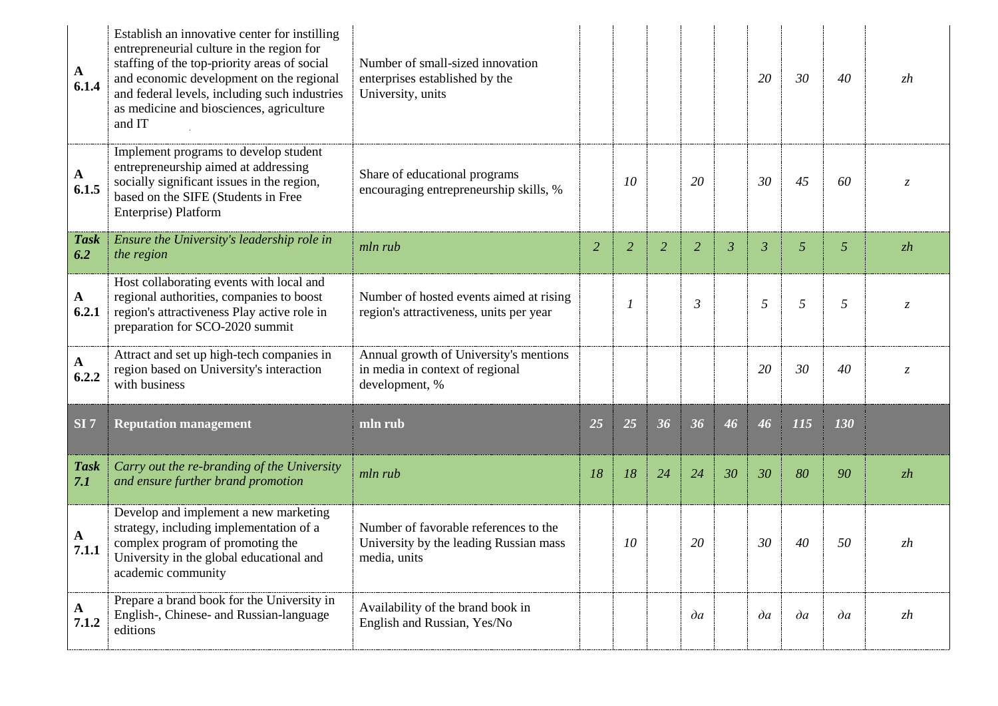| $\mathbf{A}$<br>6.1.4 | Establish an innovative center for instilling<br>entrepreneurial culture in the region for<br>staffing of the top-priority areas of social<br>and economic development on the regional<br>and federal levels, including such industries<br>as medicine and biosciences, agriculture<br>and IT | Number of small-sized innovation<br>enterprises established by the<br>University, units         |                |    |                |                |                | 20             | 30           | 40           | zh            |
|-----------------------|-----------------------------------------------------------------------------------------------------------------------------------------------------------------------------------------------------------------------------------------------------------------------------------------------|-------------------------------------------------------------------------------------------------|----------------|----|----------------|----------------|----------------|----------------|--------------|--------------|---------------|
| $\mathbf{A}$<br>6.1.5 | Implement programs to develop student<br>entrepreneurship aimed at addressing<br>socially significant issues in the region,<br>based on the SIFE (Students in Free<br>Enterprise) Platform                                                                                                    | Share of educational programs<br>encouraging entrepreneurship skills, %                         |                | 10 |                | 20             |                | 30             | 45           | 60           |               |
| <b>Task</b><br>6.2    | Ensure the University's leadership role in<br>the region                                                                                                                                                                                                                                      | mln rub                                                                                         | $\overline{2}$ | 2  | $\overline{2}$ | $\overline{2}$ | $\mathfrak{Z}$ | $\mathfrak{Z}$ | 5            | 5            | zh            |
| $\mathbf{A}$<br>6.2.1 | Host collaborating events with local and<br>regional authorities, companies to boost<br>region's attractiveness Play active role in<br>preparation for SCO-2020 summit                                                                                                                        | Number of hosted events aimed at rising<br>region's attractiveness, units per year              |                |    |                | $\mathfrak{Z}$ |                | 5              | 5            | 5            | $\mathcal{Z}$ |
| A<br>6.2.2            | Attract and set up high-tech companies in<br>region based on University's interaction<br>with business                                                                                                                                                                                        | Annual growth of University's mentions<br>in media in context of regional<br>development, %     |                |    |                |                |                | 20             | 30           | 40           | $\mathcal{Z}$ |
| SI <sub>7</sub>       | <b>Reputation management</b>                                                                                                                                                                                                                                                                  | mln rub                                                                                         | 25             | 25 | 36             | 36             | 46             | 46             | 115          | 130          |               |
| <b>Task</b><br>7.1    | Carry out the re-branding of the University<br>and ensure further brand promotion                                                                                                                                                                                                             | mln rub                                                                                         | 18             | 18 | 24             | 24             | 30             | 30             | 80           | 90           | zh            |
| A<br>7.1.1            | Develop and implement a new marketing<br>strategy, including implementation of a<br>complex program of promoting the<br>University in the global educational and<br>academic community                                                                                                        | Number of favorable references to the<br>University by the leading Russian mass<br>media, units |                | 10 |                | 20             |                | 30             | 40           | 50           | zh            |
| $\mathbf{A}$<br>7.1.2 | Prepare a brand book for the University in<br>English-, Chinese- and Russian-language<br>editions                                                                                                                                                                                             | Availability of the brand book in<br>English and Russian, Yes/No                                |                |    |                | $\partial a$   |                | $\partial a$   | $\partial a$ | $\partial a$ | zh            |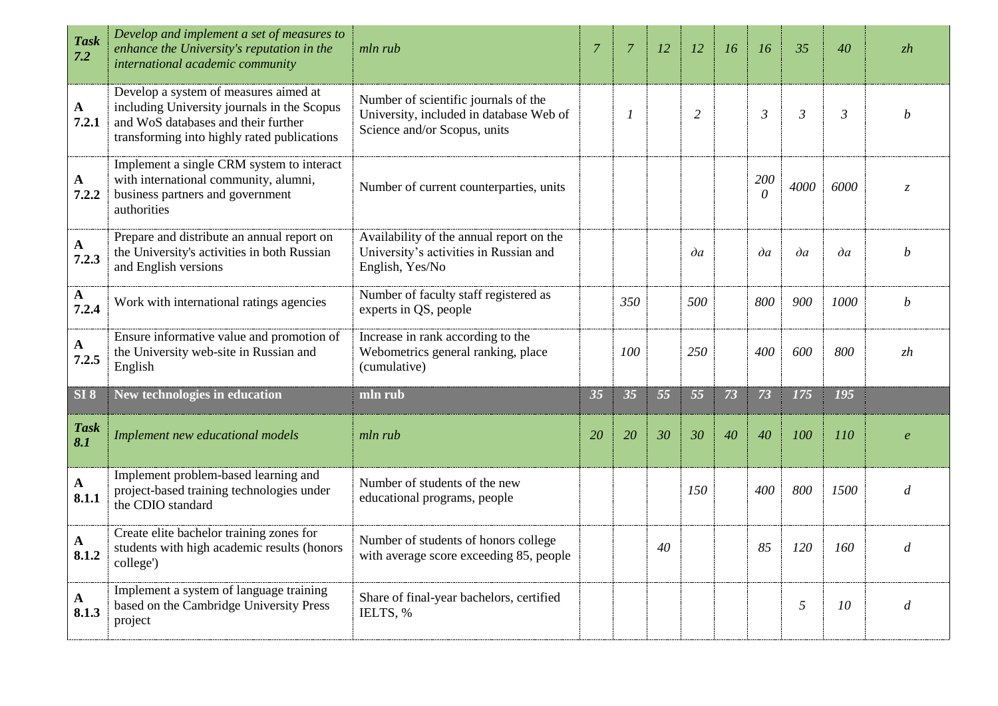| <b>Task</b><br>7.2   | Develop and implement a set of measures to<br>enhance the University's reputation in the<br>international academic community                                               | mln rub                                                                                                         | $\overline{7}$ | $\overline{7}$   | 12 | 12             | 16 | 16              | 35             | 40             | zh                  |
|----------------------|----------------------------------------------------------------------------------------------------------------------------------------------------------------------------|-----------------------------------------------------------------------------------------------------------------|----------------|------------------|----|----------------|----|-----------------|----------------|----------------|---------------------|
| $\mathbf A$<br>7.2.1 | Develop a system of measures aimed at<br>including University journals in the Scopus<br>and WoS databases and their further<br>transforming into highly rated publications | Number of scientific journals of the<br>University, included in database Web of<br>Science and/or Scopus, units |                | $\boldsymbol{l}$ |    | $\overline{2}$ |    | $\mathfrak{Z}$  | $\mathfrak{Z}$ | $\mathfrak{Z}$ | h                   |
| A<br>7.2.2           | Implement a single CRM system to interact<br>with international community, alumni,<br>business partners and government<br>authorities                                      | Number of current counterparties, units                                                                         |                |                  |    |                |    | 200<br>$\theta$ | 4000           | 6000           | Z.                  |
| $\mathbf A$<br>7.2.3 | Prepare and distribute an annual report on<br>the University's activities in both Russian<br>and English versions                                                          | Availability of the annual report on the<br>University's activities in Russian and<br>English, Yes/No           |                |                  |    | $\partial a$   |    | $\partial a$    | $\partial a$   | $\partial a$   | h                   |
| $\mathbf A$<br>7.2.4 | Work with international ratings agencies                                                                                                                                   | Number of faculty staff registered as<br>experts in QS, people                                                  |                | 350              |    | 500            |    | 800             | 900            | 1000           | b                   |
| A<br>7.2.5           | Ensure informative value and promotion of<br>the University web-site in Russian and<br>English                                                                             | Increase in rank according to the<br>Webometrics general ranking, place<br>(cumulative)                         |                | 100              |    | 250            |    | 400             | 600            | 800            | zh                  |
| SI 8                 | New technologies in education                                                                                                                                              | mln rub                                                                                                         | 35             | 35               | 55 | 55             | 73 | 73              | 175            | 195            |                     |
| <b>Task</b><br>8.1   | Implement new educational models                                                                                                                                           | mln rub                                                                                                         | 20             | 20               | 30 | 30             | 40 | 40              | 100            | 110            | $\boldsymbol{\rho}$ |
| ${\bf A}$<br>8.1.1   | Implement problem-based learning and<br>project-based training technologies under<br>the CDIO standard                                                                     | Number of students of the new<br>educational programs, people                                                   |                |                  |    | 150            |    | 400             | 800            | 1500           | $\overline{d}$      |
| ${\bf A}$<br>8.1.2   | Create elite bachelor training zones for<br>students with high academic results (honors<br>college')                                                                       | Number of students of honors college<br>with average score exceeding 85, people                                 |                |                  | 40 |                |    | 85              | 120            | 160            | d                   |
| A<br>8.1.3           | Implement a system of language training<br>based on the Cambridge University Press<br>project                                                                              | Share of final-year bachelors, certified<br>IELTS, %                                                            |                |                  |    |                |    |                 | 5              | 10             | d                   |